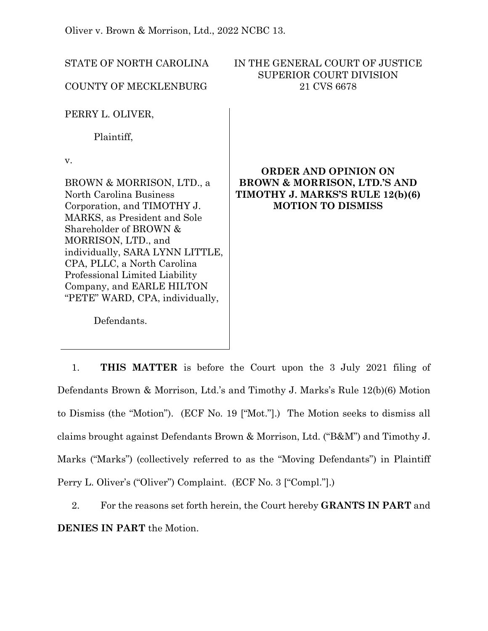Oliver v. Brown & Morrison, Ltd., 2022 NCBC 13.

| STATE OF NORTH CAROLINA<br><b>COUNTY OF MECKLENBURG</b>                                                                                                                                                                                                                                                                                        | IN THE GENERAL COURT OF JUSTICE<br><b>SUPERIOR COURT DIVISION</b><br>21 CVS 6678                                                       |
|------------------------------------------------------------------------------------------------------------------------------------------------------------------------------------------------------------------------------------------------------------------------------------------------------------------------------------------------|----------------------------------------------------------------------------------------------------------------------------------------|
| PERRY L. OLIVER,<br>Plaintiff,                                                                                                                                                                                                                                                                                                                 |                                                                                                                                        |
| V.<br>BROWN & MORRISON, LTD., a<br>North Carolina Business<br>Corporation, and TIMOTHY J.<br>MARKS, as President and Sole<br>Shareholder of BROWN &<br>MORRISON, LTD., and<br>individually, SARA LYNN LITTLE,<br>CPA, PLLC, a North Carolina<br>Professional Limited Liability<br>Company, and EARLE HILTON<br>"PETE" WARD, CPA, individually, | <b>ORDER AND OPINION ON</b><br><b>BROWN &amp; MORRISON, LTD.'S AND</b><br>TIMOTHY J. MARKS'S RULE 12(b)(6)<br><b>MOTION TO DISMISS</b> |

Defendants.

1. **THIS MATTER** is before the Court upon the 3 July 2021 filing of Defendants Brown & Morrison, Ltd.'s and Timothy J. Marks's Rule 12(b)(6) Motion to Dismiss (the "Motion"). (ECF No. 19 ["Mot."].) The Motion seeks to dismiss all claims brought against Defendants Brown & Morrison, Ltd. ("B&M") and Timothy J. Marks ("Marks") (collectively referred to as the "Moving Defendants") in Plaintiff Perry L. Oliver's ("Oliver") Complaint. (ECF No. 3 ["Compl."].)

2. For the reasons set forth herein, the Court hereby **GRANTS IN PART** and **DENIES IN PART** the Motion.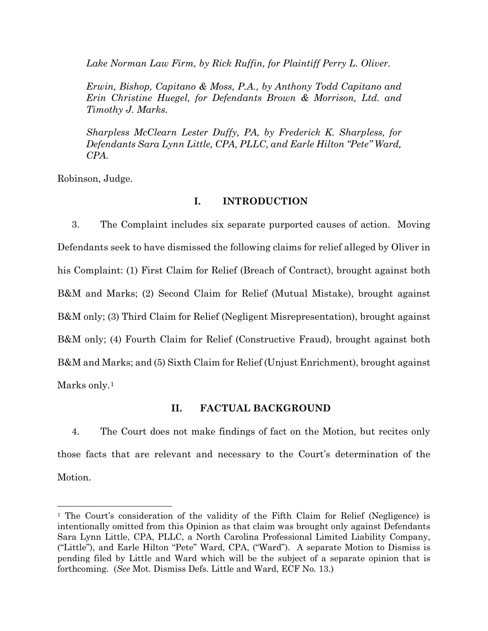*Lake Norman Law Firm, by Rick Ruffin, for Plaintiff Perry L. Oliver.* 

*Erwin, Bishop, Capitano & Moss, P.A., by Anthony Todd Capitano and Erin Christine Huegel, for Defendants Brown & Morrison, Ltd. and Timothy J. Marks.*

*Sharpless McClearn Lester Duffy, PA, by Frederick K. Sharpless, for Defendants Sara Lynn Little, CPA, PLLC, and Earle Hilton "Pete" Ward, CPA.*

Robinson, Judge.

## **I. INTRODUCTION**

3. The Complaint includes six separate purported causes of action. Moving Defendants seek to have dismissed the following claims for relief alleged by Oliver in his Complaint: (1) First Claim for Relief (Breach of Contract), brought against both B&M and Marks; (2) Second Claim for Relief (Mutual Mistake), brought against B&M only; (3) Third Claim for Relief (Negligent Misrepresentation), brought against B&M only; (4) Fourth Claim for Relief (Constructive Fraud), brought against both B&M and Marks; and (5) Sixth Claim for Relief (Unjust Enrichment), brought against Marks only.<sup>[1](#page-1-0)</sup>

# **II. FACTUAL BACKGROUND**

4. The Court does not make findings of fact on the Motion, but recites only those facts that are relevant and necessary to the Court's determination of the Motion.

<span id="page-1-0"></span><sup>1</sup> The Court's consideration of the validity of the Fifth Claim for Relief (Negligence) is intentionally omitted from this Opinion as that claim was brought only against Defendants Sara Lynn Little, CPA, PLLC, a North Carolina Professional Limited Liability Company, ("Little"), and Earle Hilton "Pete" Ward, CPA, ("Ward"). A separate Motion to Dismiss is pending filed by Little and Ward which will be the subject of a separate opinion that is forthcoming. (*See* Mot. Dismiss Defs. Little and Ward, ECF No. 13.)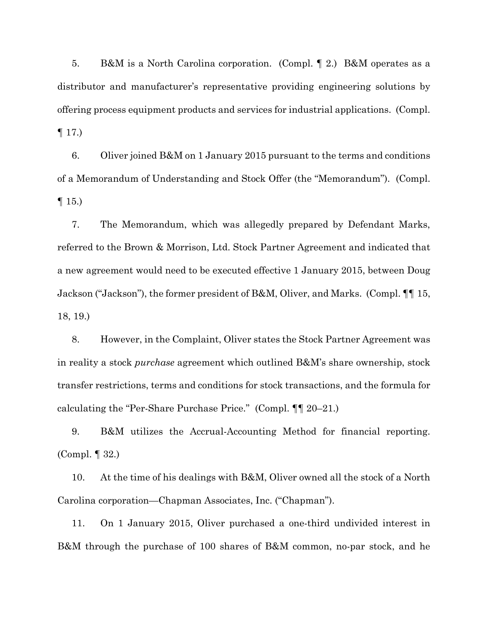5. B&M is a North Carolina corporation. (Compl. ¶ 2.) B&M operates as a distributor and manufacturer's representative providing engineering solutions by offering process equipment products and services for industrial applications. (Compl.  $\P$  17.)

6. Oliver joined B&M on 1 January 2015 pursuant to the terms and conditions of a Memorandum of Understanding and Stock Offer (the "Memorandum"). (Compl.  $\P$  15.)

7. The Memorandum, which was allegedly prepared by Defendant Marks, referred to the Brown & Morrison, Ltd. Stock Partner Agreement and indicated that a new agreement would need to be executed effective 1 January 2015, between Doug Jackson ("Jackson"), the former president of B&M, Oliver, and Marks. (Compl. ¶¶ 15, 18, 19.)

8. However, in the Complaint, Oliver states the Stock Partner Agreement was in reality a stock *purchase* agreement which outlined B&M's share ownership, stock transfer restrictions, terms and conditions for stock transactions, and the formula for calculating the "Per-Share Purchase Price." (Compl. ¶¶ 20–21.)

9. B&M utilizes the Accrual-Accounting Method for financial reporting. (Compl. ¶ 32.)

10. At the time of his dealings with B&M, Oliver owned all the stock of a North Carolina corporation—Chapman Associates, Inc. ("Chapman").

11. On 1 January 2015, Oliver purchased a one-third undivided interest in B&M through the purchase of 100 shares of B&M common, no-par stock, and he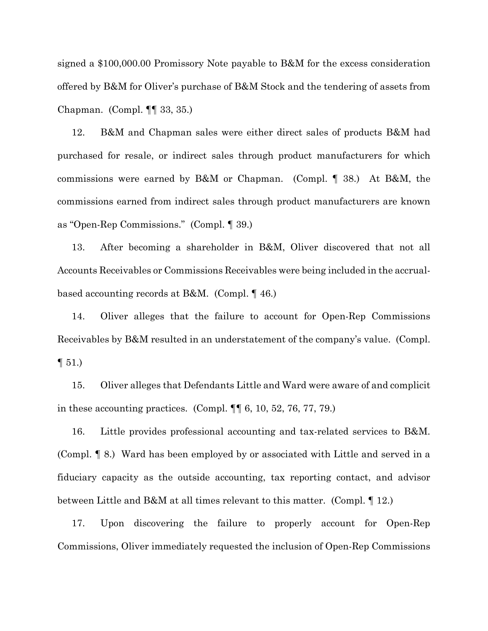signed a \$100,000.00 Promissory Note payable to B&M for the excess consideration offered by B&M for Oliver's purchase of B&M Stock and the tendering of assets from Chapman. (Compl. ¶¶ 33, 35.)

12. B&M and Chapman sales were either direct sales of products B&M had purchased for resale, or indirect sales through product manufacturers for which commissions were earned by B&M or Chapman. (Compl. ¶ 38.) At B&M, the commissions earned from indirect sales through product manufacturers are known as "Open-Rep Commissions." (Compl. ¶ 39.)

13. After becoming a shareholder in B&M, Oliver discovered that not all Accounts Receivables or Commissions Receivables were being included in the accrualbased accounting records at B&M. (Compl. ¶ 46.)

14. Oliver alleges that the failure to account for Open-Rep Commissions Receivables by B&M resulted in an understatement of the company's value. (Compl.  $\P 51.$ 

15. Oliver alleges that Defendants Little and Ward were aware of and complicit in these accounting practices. (Compl. ¶¶ 6, 10, 52, 76, 77, 79.)

16. Little provides professional accounting and tax-related services to B&M. (Compl. ¶ 8.) Ward has been employed by or associated with Little and served in a fiduciary capacity as the outside accounting, tax reporting contact, and advisor between Little and B&M at all times relevant to this matter. (Compl. ¶ 12.)

17. Upon discovering the failure to properly account for Open-Rep Commissions, Oliver immediately requested the inclusion of Open-Rep Commissions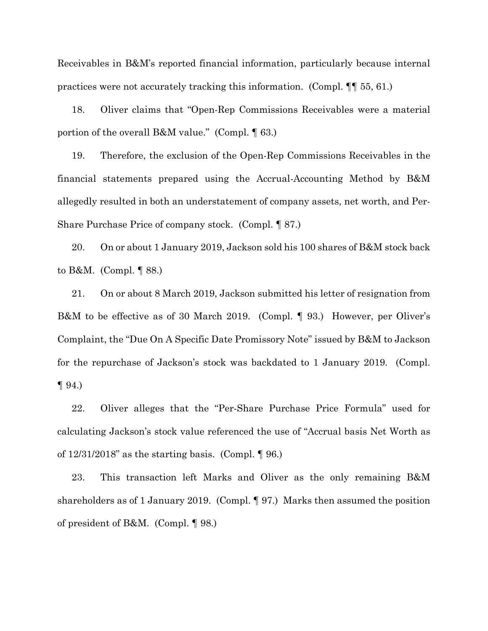Receivables in B&M's reported financial information, particularly because internal practices were not accurately tracking this information. (Compl. ¶¶ 55, 61.)

18. Oliver claims that "Open-Rep Commissions Receivables were a material portion of the overall B&M value." (Compl. ¶ 63.)

19. Therefore, the exclusion of the Open-Rep Commissions Receivables in the financial statements prepared using the Accrual-Accounting Method by B&M allegedly resulted in both an understatement of company assets, net worth, and Per-Share Purchase Price of company stock. (Compl. ¶ 87.)

20. On or about 1 January 2019, Jackson sold his 100 shares of B&M stock back to B&M. (Compl. ¶ 88.)

21. On or about 8 March 2019, Jackson submitted his letter of resignation from B&M to be effective as of 30 March 2019. (Compl. ¶ 93.) However, per Oliver's Complaint, the "Due On A Specific Date Promissory Note" issued by B&M to Jackson for the repurchase of Jackson's stock was backdated to 1 January 2019. (Compl.  $\P 94.$ 

22. Oliver alleges that the "Per-Share Purchase Price Formula" used for calculating Jackson's stock value referenced the use of "Accrual basis Net Worth as of  $12/31/2018$ " as the starting basis. (Compl.  $\llbracket 96 \rrbracket$ )

23. This transaction left Marks and Oliver as the only remaining B&M shareholders as of 1 January 2019. (Compl. ¶ 97.) Marks then assumed the position of president of B&M. (Compl. ¶ 98.)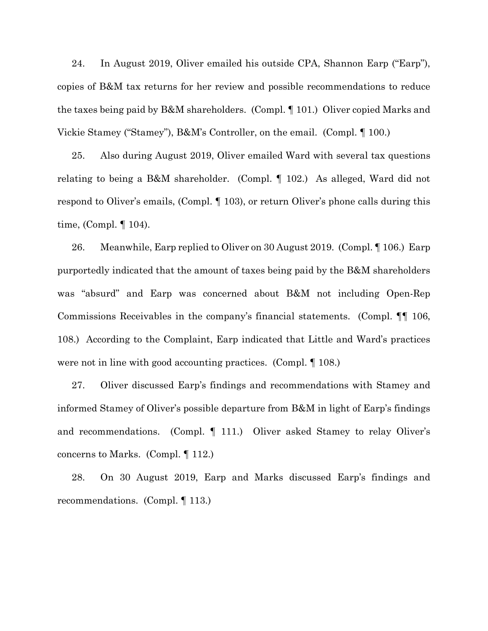24. In August 2019, Oliver emailed his outside CPA, Shannon Earp ("Earp"), copies of B&M tax returns for her review and possible recommendations to reduce the taxes being paid by B&M shareholders. (Compl. ¶ 101.) Oliver copied Marks and Vickie Stamey ("Stamey"), B&M's Controller, on the email. (Compl. ¶ 100.)

25. Also during August 2019, Oliver emailed Ward with several tax questions relating to being a B&M shareholder. (Compl. ¶ 102.) As alleged, Ward did not respond to Oliver's emails, (Compl. ¶ 103), or return Oliver's phone calls during this time, (Compl. ¶ 104).

26. Meanwhile, Earp replied to Oliver on 30 August 2019. (Compl. ¶ 106.) Earp purportedly indicated that the amount of taxes being paid by the B&M shareholders was "absurd" and Earp was concerned about B&M not including Open-Rep Commissions Receivables in the company's financial statements. (Compl. ¶¶ 106, 108.) According to the Complaint, Earp indicated that Little and Ward's practices were not in line with good accounting practices. (Compl. ¶ 108.)

27. Oliver discussed Earp's findings and recommendations with Stamey and informed Stamey of Oliver's possible departure from B&M in light of Earp's findings and recommendations. (Compl. ¶ 111.) Oliver asked Stamey to relay Oliver's concerns to Marks. (Compl. ¶ 112.)

28. On 30 August 2019, Earp and Marks discussed Earp's findings and recommendations. (Compl. ¶ 113.)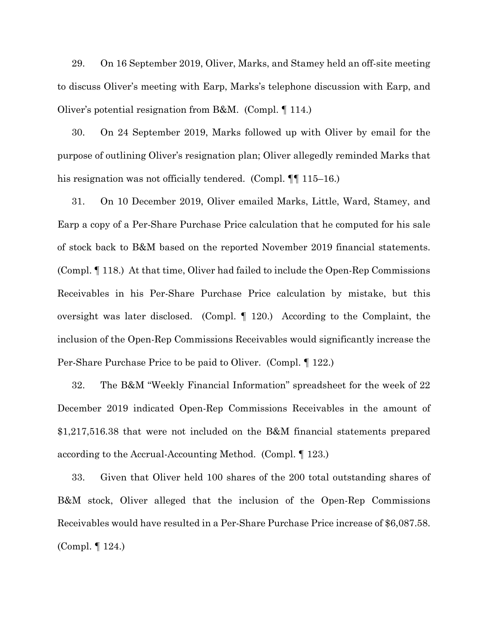29. On 16 September 2019, Oliver, Marks, and Stamey held an off-site meeting to discuss Oliver's meeting with Earp, Marks's telephone discussion with Earp, and Oliver's potential resignation from B&M. (Compl. ¶ 114.)

30. On 24 September 2019, Marks followed up with Oliver by email for the purpose of outlining Oliver's resignation plan; Oliver allegedly reminded Marks that his resignation was not officially tendered. (Compl.  $\P$  115–16.)

31. On 10 December 2019, Oliver emailed Marks, Little, Ward, Stamey, and Earp a copy of a Per-Share Purchase Price calculation that he computed for his sale of stock back to B&M based on the reported November 2019 financial statements. (Compl. ¶ 118.) At that time, Oliver had failed to include the Open-Rep Commissions Receivables in his Per-Share Purchase Price calculation by mistake, but this oversight was later disclosed. (Compl. ¶ 120.) According to the Complaint, the inclusion of the Open-Rep Commissions Receivables would significantly increase the Per-Share Purchase Price to be paid to Oliver. (Compl. ¶ 122.)

32. The B&M "Weekly Financial Information" spreadsheet for the week of 22 December 2019 indicated Open-Rep Commissions Receivables in the amount of \$1,217,516.38 that were not included on the B&M financial statements prepared according to the Accrual-Accounting Method. (Compl. ¶ 123.)

33. Given that Oliver held 100 shares of the 200 total outstanding shares of B&M stock, Oliver alleged that the inclusion of the Open-Rep Commissions Receivables would have resulted in a Per-Share Purchase Price increase of \$6,087.58. (Compl. ¶ 124.)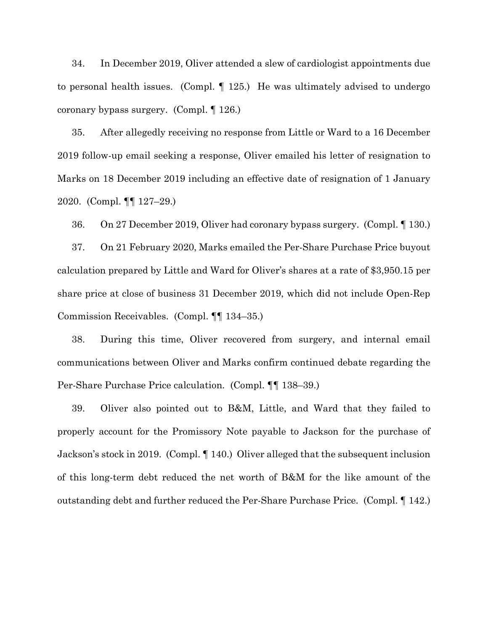34. In December 2019, Oliver attended a slew of cardiologist appointments due to personal health issues. (Compl. ¶ 125.) He was ultimately advised to undergo coronary bypass surgery. (Compl. ¶ 126.)

35. After allegedly receiving no response from Little or Ward to a 16 December 2019 follow-up email seeking a response, Oliver emailed his letter of resignation to Marks on 18 December 2019 including an effective date of resignation of 1 January 2020. (Compl. ¶¶ 127–29.)

36. On 27 December 2019, Oliver had coronary bypass surgery. (Compl. ¶ 130.) 37. On 21 February 2020, Marks emailed the Per-Share Purchase Price buyout calculation prepared by Little and Ward for Oliver's shares at a rate of \$3,950.15 per share price at close of business 31 December 2019, which did not include Open-Rep

Commission Receivables. (Compl. ¶¶ 134–35.)

38. During this time, Oliver recovered from surgery, and internal email communications between Oliver and Marks confirm continued debate regarding the Per-Share Purchase Price calculation. (Compl. ¶¶ 138–39.)

39. Oliver also pointed out to B&M, Little, and Ward that they failed to properly account for the Promissory Note payable to Jackson for the purchase of Jackson's stock in 2019. (Compl. ¶ 140.) Oliver alleged that the subsequent inclusion of this long-term debt reduced the net worth of B&M for the like amount of the outstanding debt and further reduced the Per-Share Purchase Price. (Compl. ¶ 142.)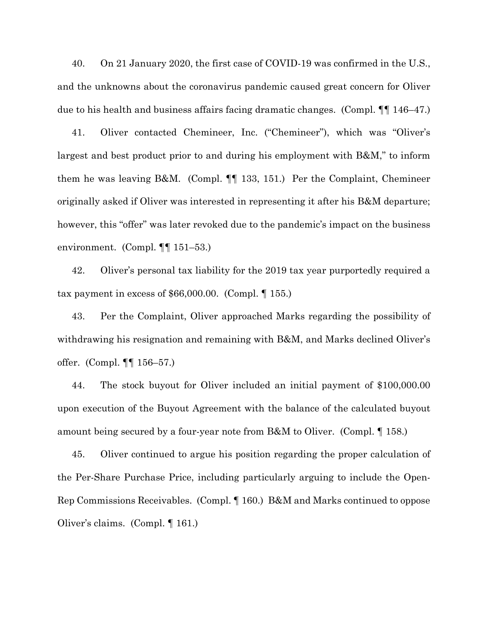40. On 21 January 2020, the first case of COVID-19 was confirmed in the U.S., and the unknowns about the coronavirus pandemic caused great concern for Oliver due to his health and business affairs facing dramatic changes. (Compl. ¶¶ 146–47.)

41. Oliver contacted Chemineer, Inc. ("Chemineer"), which was "Oliver's largest and best product prior to and during his employment with B&M," to inform them he was leaving B&M. (Compl. ¶¶ 133, 151.) Per the Complaint, Chemineer originally asked if Oliver was interested in representing it after his B&M departure; however, this "offer" was later revoked due to the pandemic's impact on the business environment. (Compl. ¶¶ 151–53.)

42. Oliver's personal tax liability for the 2019 tax year purportedly required a tax payment in excess of  $$66,000.00.$  (Compl.  $$155.$ )

43. Per the Complaint, Oliver approached Marks regarding the possibility of withdrawing his resignation and remaining with B&M, and Marks declined Oliver's offer. (Compl. ¶¶ 156–57.)

44. The stock buyout for Oliver included an initial payment of \$100,000.00 upon execution of the Buyout Agreement with the balance of the calculated buyout amount being secured by a four-year note from B&M to Oliver. (Compl. ¶ 158.)

45. Oliver continued to argue his position regarding the proper calculation of the Per-Share Purchase Price, including particularly arguing to include the Open-Rep Commissions Receivables. (Compl. ¶ 160.) B&M and Marks continued to oppose Oliver's claims. (Compl. ¶ 161.)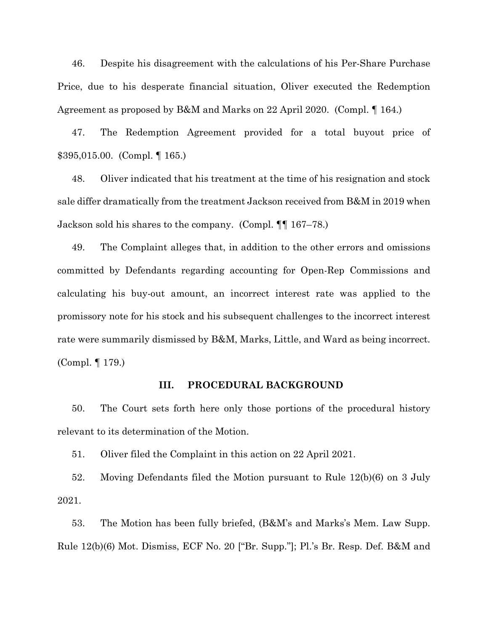46. Despite his disagreement with the calculations of his Per-Share Purchase Price, due to his desperate financial situation, Oliver executed the Redemption Agreement as proposed by B&M and Marks on 22 April 2020. (Compl. ¶ 164.)

47. The Redemption Agreement provided for a total buyout price of \$395,015.00. (Compl. ¶ 165.)

48. Oliver indicated that his treatment at the time of his resignation and stock sale differ dramatically from the treatment Jackson received from B&M in 2019 when Jackson sold his shares to the company. (Compl. ¶¶ 167–78.)

49. The Complaint alleges that, in addition to the other errors and omissions committed by Defendants regarding accounting for Open-Rep Commissions and calculating his buy-out amount, an incorrect interest rate was applied to the promissory note for his stock and his subsequent challenges to the incorrect interest rate were summarily dismissed by B&M, Marks, Little, and Ward as being incorrect. (Compl. ¶ 179.)

#### **III. PROCEDURAL BACKGROUND**

50. The Court sets forth here only those portions of the procedural history relevant to its determination of the Motion.

51. Oliver filed the Complaint in this action on 22 April 2021.

52. Moving Defendants filed the Motion pursuant to Rule 12(b)(6) on 3 July 2021.

53. The Motion has been fully briefed, (B&M's and Marks's Mem. Law Supp. Rule 12(b)(6) Mot. Dismiss, ECF No. 20 ["Br. Supp."]; Pl.'s Br. Resp. Def. B&M and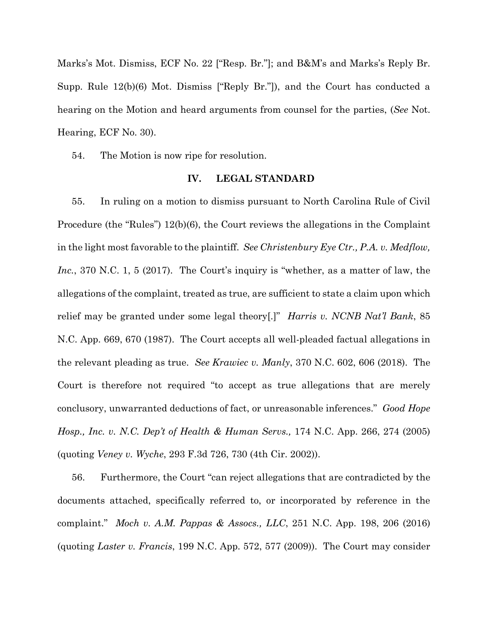Marks's Mot. Dismiss, ECF No. 22 ["Resp. Br."]; and B&M's and Marks's Reply Br. Supp. Rule 12(b)(6) Mot. Dismiss ["Reply Br."]), and the Court has conducted a hearing on the Motion and heard arguments from counsel for the parties, (*See* Not. Hearing, ECF No. 30).

54. The Motion is now ripe for resolution.

#### **IV. LEGAL STANDARD**

55. In ruling on a motion to dismiss pursuant to North Carolina Rule of Civil Procedure (the "Rules") 12(b)(6), the Court reviews the allegations in the Complaint in the light most favorable to the plaintiff. *See Christenbury Eye Ctr., P.A. v. Medflow, Inc.*, 370 N.C. 1, 5 (2017). The Court's inquiry is "whether, as a matter of law, the allegations of the complaint, treated as true, are sufficient to state a claim upon which relief may be granted under some legal theory[.]" *Harris v. NCNB Nat'l Bank*, 85 N.C. App. 669, 670 (1987). The Court accepts all well-pleaded factual allegations in the relevant pleading as true. *See Krawiec v. Manly*, 370 N.C. 602, 606 (2018). The Court is therefore not required "to accept as true allegations that are merely conclusory, unwarranted deductions of fact, or unreasonable inferences." *Good Hope Hosp., Inc. v. N.C. Dep't of Health & Human Servs.,* 174 N.C. App. 266, 274 (2005) (quoting *Veney v. Wyche*, 293 F.3d 726, 730 (4th Cir. 2002)).

56. Furthermore, the Court "can reject allegations that are contradicted by the documents attached, specifically referred to, or incorporated by reference in the complaint." *Moch v. A.M. Pappas & Assocs., LLC*, 251 N.C. App. 198, 206 (2016) (quoting *Laster v. Francis*, 199 N.C. App. 572, 577 (2009)). The Court may consider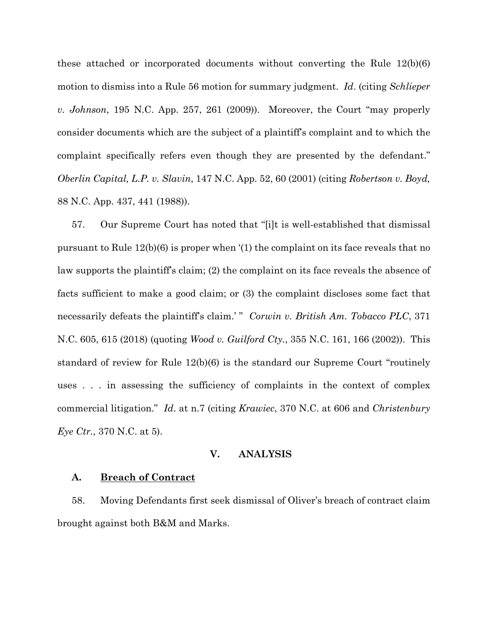these attached or incorporated documents without converting the Rule 12(b)(6) motion to dismiss into a Rule 56 motion for summary judgment. *Id*. (citing *Schlieper v. Johnson*, 195 N.C. App. 257, 261 (2009)). Moreover, the Court "may properly consider documents which are the subject of a plaintiff's complaint and to which the complaint specifically refers even though they are presented by the defendant." *Oberlin Capital, L.P. v. Slavin*, 147 N.C. App. 52, 60 (2001) (citing *Robertson v. Boyd,*  88 N.C. App. 437, 441 (1988)).

57. Our Supreme Court has noted that "[i]t is well-established that dismissal pursuant to Rule 12(b)(6) is proper when '(1) the complaint on its face reveals that no law supports the plaintiff's claim; (2) the complaint on its face reveals the absence of facts sufficient to make a good claim; or (3) the complaint discloses some fact that necessarily defeats the plaintiff's claim.' " *Corwin v. British Am. Tobacco PLC*, 371 N.C. 605, 615 (2018) (quoting *Wood v. Guilford Cty.*, 355 N.C. 161, 166 (2002)). This standard of review for Rule 12(b)(6) is the standard our Supreme Court "routinely uses . . . in assessing the sufficiency of complaints in the context of complex commercial litigation." *Id*. at n.7 (citing *Krawiec*, 370 N.C. at 606 and *Christenbury Eye Ctr.*, 370 N.C. at 5).

## **V. ANALYSIS**

#### **A. Breach of Contract**

58. Moving Defendants first seek dismissal of Oliver's breach of contract claim brought against both B&M and Marks.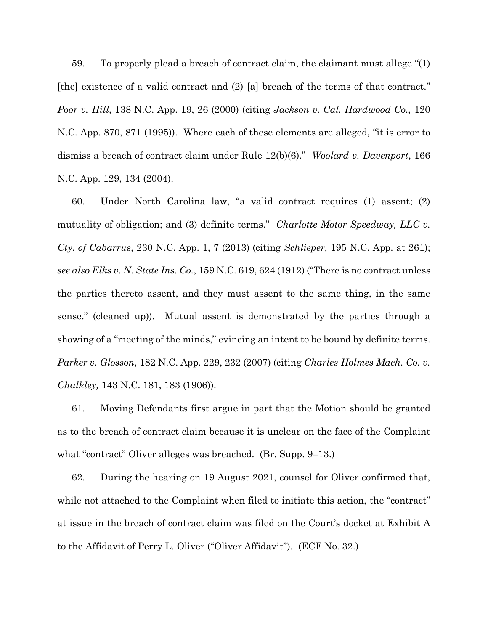59. To properly plead a breach of contract claim, the claimant must allege "(1) [the] existence of a valid contract and (2) [a] breach of the terms of that contract." *Poor v. Hill*, 138 N.C. App. 19, 26 (2000) (citing *Jackson v. Cal. Hardwood Co.,* 120 N.C. App. 870, 871 (1995)). Where each of these elements are alleged, "it is error to dismiss a breach of contract claim under Rule 12(b)(6)." *Woolard v. Davenport*, 166 N.C. App. 129, 134 (2004).

60. Under North Carolina law, "a valid contract requires (1) assent; (2) mutuality of obligation; and (3) definite terms." *Charlotte Motor Speedway, LLC v. Cty. of Cabarrus*, 230 N.C. App. 1, 7 (2013) (citing *Schlieper,* 195 N.C. App. at 261); *see also Elks v. N. State Ins. Co.*, 159 N.C. 619, 624 (1912) ("There is no contract unless the parties thereto assent, and they must assent to the same thing, in the same sense." (cleaned up)). Mutual assent is demonstrated by the parties through a showing of a "meeting of the minds," evincing an intent to be bound by definite terms. *Parker v. Glosson*, 182 N.C. App. 229, 232 (2007) (citing *Charles Holmes Mach. Co. v. Chalkley,* 143 N.C. 181, 183 (1906)).

61. Moving Defendants first argue in part that the Motion should be granted as to the breach of contract claim because it is unclear on the face of the Complaint what "contract" Oliver alleges was breached. (Br. Supp. 9–13.)

62. During the hearing on 19 August 2021, counsel for Oliver confirmed that, while not attached to the Complaint when filed to initiate this action, the "contract" at issue in the breach of contract claim was filed on the Court's docket at Exhibit A to the Affidavit of Perry L. Oliver ("Oliver Affidavit"). (ECF No. 32.)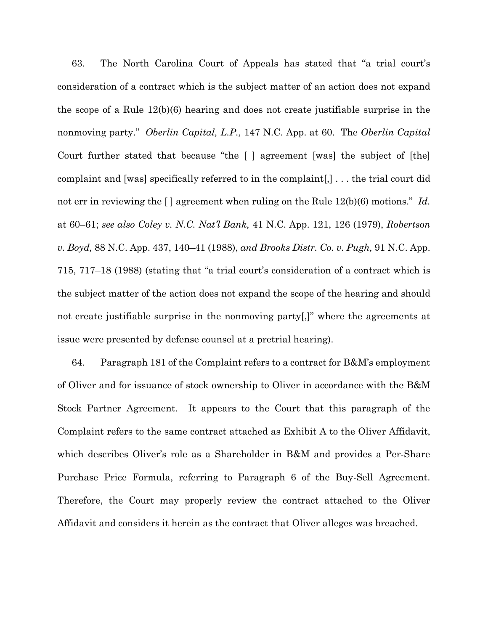63. The North Carolina Court of Appeals has stated that "a trial court's consideration of a contract which is the subject matter of an action does not expand the scope of a Rule 12(b)(6) hearing and does not create justifiable surprise in the nonmoving party." *Oberlin Capital, L.P.,* 147 N.C. App. at 60. The *Oberlin Capital*  Court further stated that because "the [ ] agreement [was] the subject of [the] complaint and [was] specifically referred to in the complaint[,] . . . the trial court did not err in reviewing the [] agreement when ruling on the Rule 12(b)(6) motions." *Id.* at 60–61; *see also Coley v. N.C. Nat'l Bank,* 41 N.C. App. 121, 126 (1979), *Robertson v. Boyd,* 88 N.C. App. 437, 140–41 (1988), *and Brooks Distr. Co. v. Pugh,* 91 N.C. App. 715, 717–18 (1988) (stating that "a trial court's consideration of a contract which is the subject matter of the action does not expand the scope of the hearing and should not create justifiable surprise in the nonmoving party[,]" where the agreements at issue were presented by defense counsel at a pretrial hearing).

64. Paragraph 181 of the Complaint refers to a contract for  $B\&M$ 's employment of Oliver and for issuance of stock ownership to Oliver in accordance with the B&M Stock Partner Agreement. It appears to the Court that this paragraph of the Complaint refers to the same contract attached as Exhibit A to the Oliver Affidavit, which describes Oliver's role as a Shareholder in B&M and provides a Per-Share Purchase Price Formula, referring to Paragraph 6 of the Buy-Sell Agreement. Therefore, the Court may properly review the contract attached to the Oliver Affidavit and considers it herein as the contract that Oliver alleges was breached.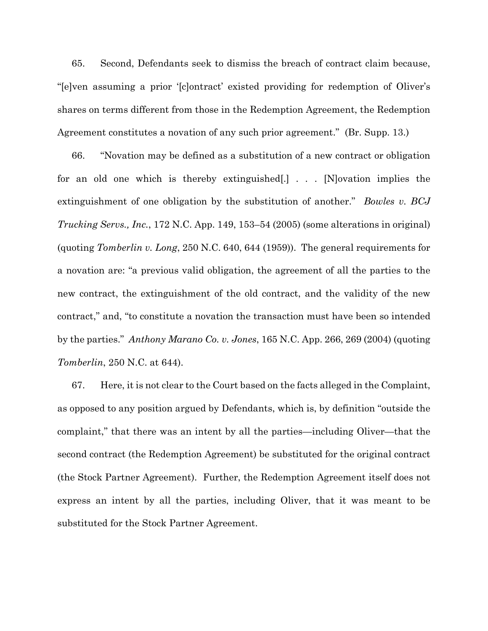65. Second, Defendants seek to dismiss the breach of contract claim because, "[e]ven assuming a prior '[c]ontract' existed providing for redemption of Oliver's shares on terms different from those in the Redemption Agreement, the Redemption Agreement constitutes a novation of any such prior agreement." (Br. Supp. 13.)

66. "Novation may be defined as a substitution of a new contract or obligation for an old one which is thereby extinguished[.] . . . [N]ovation implies the extinguishment of one obligation by the substitution of another." *Bowles v. BCJ Trucking Servs., Inc.*, 172 N.C. App. 149, 153–54 (2005) (some alterations in original) (quoting *Tomberlin v. Long*, 250 N.C. 640, 644 (1959)). The general requirements for a novation are: "a previous valid obligation, the agreement of all the parties to the new contract, the extinguishment of the old contract, and the validity of the new contract," and, "to constitute a novation the transaction must have been so intended by the parties." *Anthony Marano Co. v. Jones*, 165 N.C. App. 266, 269 (2004) (quoting *Tomberlin*, 250 N.C. at 644).

67. Here, it is not clear to the Court based on the facts alleged in the Complaint, as opposed to any position argued by Defendants, which is, by definition "outside the complaint," that there was an intent by all the parties—including Oliver—that the second contract (the Redemption Agreement) be substituted for the original contract (the Stock Partner Agreement). Further, the Redemption Agreement itself does not express an intent by all the parties, including Oliver, that it was meant to be substituted for the Stock Partner Agreement.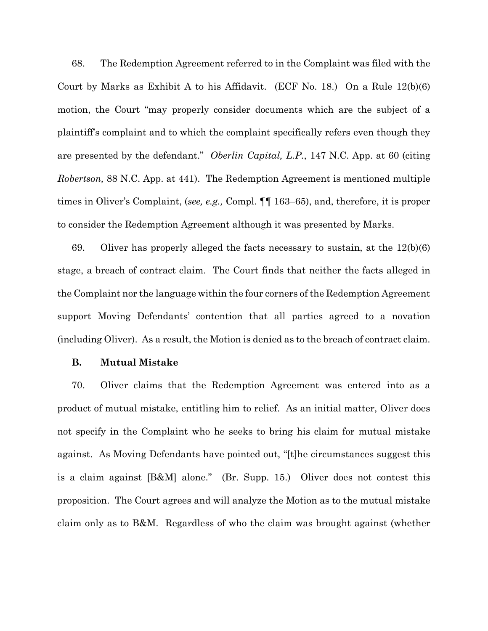68. The Redemption Agreement referred to in the Complaint was filed with the Court by Marks as Exhibit A to his Affidavit. (ECF No. 18.) On a Rule 12(b)(6) motion, the Court "may properly consider documents which are the subject of a plaintiff's complaint and to which the complaint specifically refers even though they are presented by the defendant." *Oberlin Capital, L.P.*, 147 N.C. App. at 60 (citing *Robertson,* 88 N.C. App. at 441). The Redemption Agreement is mentioned multiple times in Oliver's Complaint, (*see, e.g.,* Compl. ¶¶ 163–65), and, therefore, it is proper to consider the Redemption Agreement although it was presented by Marks.

69. Oliver has properly alleged the facts necessary to sustain, at the  $12(b)(6)$ stage, a breach of contract claim. The Court finds that neither the facts alleged in the Complaint nor the language within the four corners of the Redemption Agreement support Moving Defendants' contention that all parties agreed to a novation (including Oliver). As a result, the Motion is denied as to the breach of contract claim.

#### **B. Mutual Mistake**

70. Oliver claims that the Redemption Agreement was entered into as a product of mutual mistake, entitling him to relief. As an initial matter, Oliver does not specify in the Complaint who he seeks to bring his claim for mutual mistake against. As Moving Defendants have pointed out, "[t]he circumstances suggest this is a claim against [B&M] alone." (Br. Supp. 15.) Oliver does not contest this proposition. The Court agrees and will analyze the Motion as to the mutual mistake claim only as to B&M. Regardless of who the claim was brought against (whether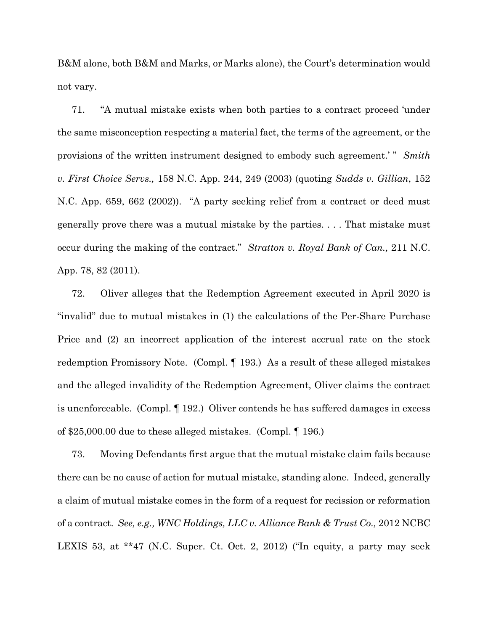B&M alone, both B&M and Marks, or Marks alone), the Court's determination would not vary.

71. "A mutual mistake exists when both parties to a contract proceed 'under the same misconception respecting a material fact, the terms of the agreement, or the provisions of the written instrument designed to embody such agreement.' " *Smith v. First Choice Servs.,* 158 N.C. App. 244, 249 (2003) (quoting *Sudds v. Gillian*, 152 N.C. App. 659, 662 (2002)). "A party seeking relief from a contract or deed must generally prove there was a mutual mistake by the parties. . . . That mistake must occur during the making of the contract." *Stratton v. Royal Bank of Can.,* 211 N.C. App. 78, 82 (2011).

72. Oliver alleges that the Redemption Agreement executed in April 2020 is "invalid" due to mutual mistakes in (1) the calculations of the Per-Share Purchase Price and (2) an incorrect application of the interest accrual rate on the stock redemption Promissory Note. (Compl. ¶ 193.) As a result of these alleged mistakes and the alleged invalidity of the Redemption Agreement, Oliver claims the contract is unenforceable. (Compl. ¶ 192.) Oliver contends he has suffered damages in excess of \$25,000.00 due to these alleged mistakes. (Compl. ¶ 196.)

73. Moving Defendants first argue that the mutual mistake claim fails because there can be no cause of action for mutual mistake, standing alone. Indeed, generally a claim of mutual mistake comes in the form of a request for recission or reformation of a contract. *See, e.g., WNC Holdings, LLC v. Alliance Bank & Trust Co.,* 2012 NCBC LEXIS 53, at \*\*47 (N.C. Super. Ct. Oct. 2, 2012) ("In equity, a party may seek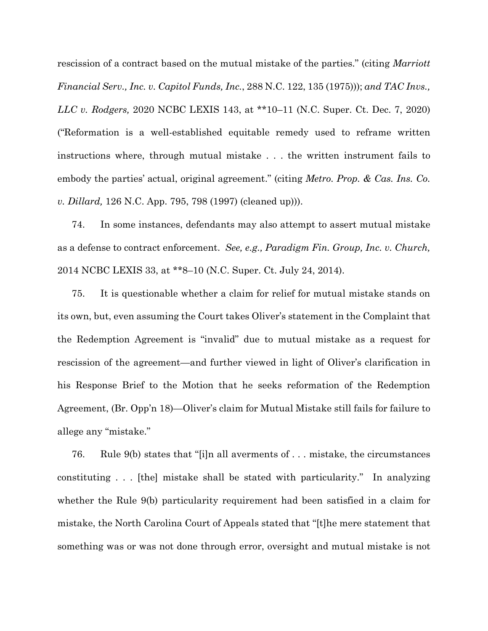rescission of a contract based on the mutual mistake of the parties." (citing *Marriott Financial Serv., Inc. v. Capitol Funds, Inc.*, 288 N.C. 122, 135 (1975))); *and TAC Invs., LLC v. Rodgers,* 2020 NCBC LEXIS 143, at \*\*10–11 (N.C. Super. Ct. Dec. 7, 2020) ("Reformation is a well-established equitable remedy used to reframe written instructions where, through mutual mistake . . . the written instrument fails to embody the parties' actual, original agreement." (citing *Metro. Prop. & Cas. Ins. Co. v. Dillard,* 126 N.C. App. 795, 798 (1997) (cleaned up))).

74. In some instances, defendants may also attempt to assert mutual mistake as a defense to contract enforcement. *See, e.g., Paradigm Fin. Group, Inc. v. Church,*  2014 NCBC LEXIS 33, at \*\*8–10 (N.C. Super. Ct. July 24, 2014).

75. It is questionable whether a claim for relief for mutual mistake stands on its own, but, even assuming the Court takes Oliver's statement in the Complaint that the Redemption Agreement is "invalid" due to mutual mistake as a request for rescission of the agreement—and further viewed in light of Oliver's clarification in his Response Brief to the Motion that he seeks reformation of the Redemption Agreement, (Br. Opp'n 18)—Oliver's claim for Mutual Mistake still fails for failure to allege any "mistake."

76. Rule 9(b) states that "[i]n all averments of . . . mistake, the circumstances constituting . . . [the] mistake shall be stated with particularity." In analyzing whether the Rule 9(b) particularity requirement had been satisfied in a claim for mistake, the North Carolina Court of Appeals stated that "[t]he mere statement that something was or was not done through error, oversight and mutual mistake is not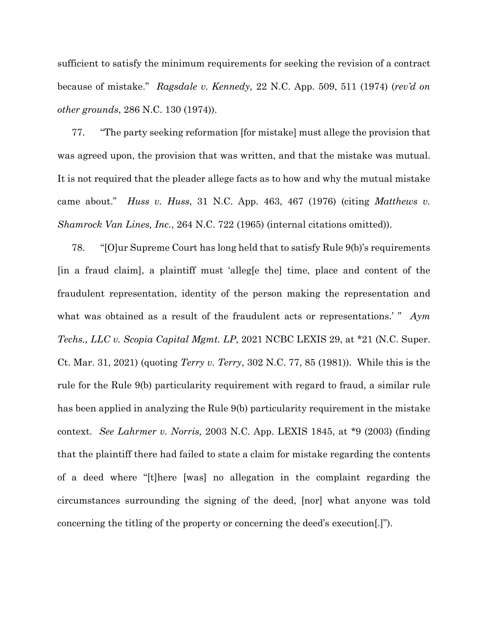sufficient to satisfy the minimum requirements for seeking the revision of a contract because of mistake." *Ragsdale v. Kennedy,* 22 N.C. App. 509, 511 (1974) (*rev'd on other grounds*, 286 N.C. 130 (1974)).

77. "The party seeking reformation [for mistake] must allege the provision that was agreed upon, the provision that was written, and that the mistake was mutual. It is not required that the pleader allege facts as to how and why the mutual mistake came about." *Huss v. Huss*, 31 N.C. App. 463, 467 (1976) (citing *Matthews v. Shamrock Van Lines, Inc.*, 264 N.C. 722 (1965) (internal citations omitted)).

78. "[O]ur Supreme Court has long held that to satisfy Rule 9(b)'s requirements [in a fraud claim], a plaintiff must 'alleg[e the] time, place and content of the fraudulent representation, identity of the person making the representation and what was obtained as a result of the fraudulent acts or representations.' " *Aym Techs., LLC v. Scopia Capital Mgmt. LP*, 2021 NCBC LEXIS 29, at \*21 (N.C. Super. Ct. Mar. 31, 2021) (quoting *Terry v. Terry*, 302 N.C. 77, 85 (1981)). While this is the rule for the Rule 9(b) particularity requirement with regard to fraud, a similar rule has been applied in analyzing the Rule 9(b) particularity requirement in the mistake context. *See Lahrmer v. Norris,* 2003 N.C. App. LEXIS 1845, at *\**9 (2003) (finding that the plaintiff there had failed to state a claim for mistake regarding the contents of a deed where "[t]here [was] no allegation in the complaint regarding the circumstances surrounding the signing of the deed, [nor] what anyone was told concerning the titling of the property or concerning the deed's execution[.]").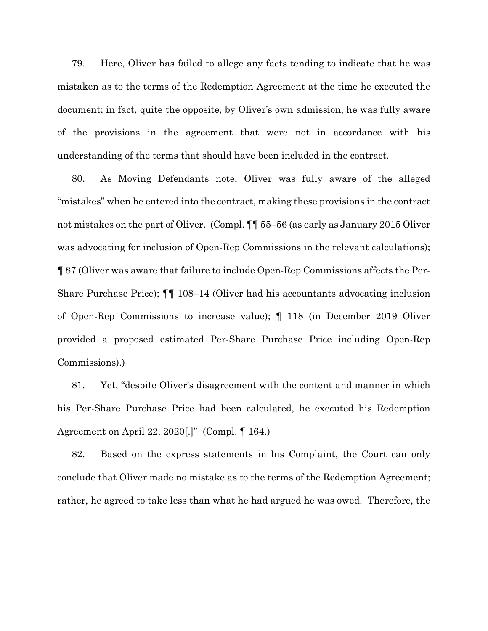79. Here, Oliver has failed to allege any facts tending to indicate that he was mistaken as to the terms of the Redemption Agreement at the time he executed the document; in fact, quite the opposite, by Oliver's own admission, he was fully aware of the provisions in the agreement that were not in accordance with his understanding of the terms that should have been included in the contract.

80. As Moving Defendants note, Oliver was fully aware of the alleged "mistakes" when he entered into the contract, making these provisions in the contract not mistakes on the part of Oliver. (Compl.  $\P\P$  55–56 (as early as January 2015 Oliver was advocating for inclusion of Open-Rep Commissions in the relevant calculations); ¶ 87 (Oliver was aware that failure to include Open-Rep Commissions affects the Per-Share Purchase Price); ¶¶ 108–14 (Oliver had his accountants advocating inclusion of Open-Rep Commissions to increase value); ¶ 118 (in December 2019 Oliver provided a proposed estimated Per-Share Purchase Price including Open-Rep Commissions).)

81. Yet, "despite Oliver's disagreement with the content and manner in which his Per-Share Purchase Price had been calculated, he executed his Redemption Agreement on April 22, 2020[.]" (Compl. ¶ 164.)

82. Based on the express statements in his Complaint, the Court can only conclude that Oliver made no mistake as to the terms of the Redemption Agreement; rather, he agreed to take less than what he had argued he was owed. Therefore, the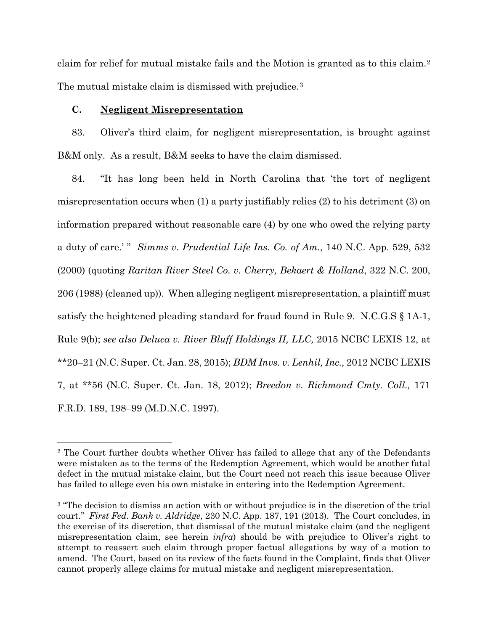claim for relief for mutual mistake fails and the Motion is granted as to this claim.[2](#page-20-0) The mutual mistake claim is dismissed with prejudice.<sup>[3](#page-20-1)</sup>

## **C. Negligent Misrepresentation**

83. Oliver's third claim, for negligent misrepresentation, is brought against B&M only. As a result, B&M seeks to have the claim dismissed.

84. "It has long been held in North Carolina that 'the tort of negligent misrepresentation occurs when (1) a party justifiably relies (2) to his detriment (3) on information prepared without reasonable care (4) by one who owed the relying party a duty of care.' " *Simms v. Prudential Life Ins. Co. of Am.*, 140 N.C. App. 529, 532 (2000) (quoting *Raritan River Steel Co. v. Cherry, Bekaert & Holland*, 322 N.C. 200, 206 (1988) (cleaned up)). When alleging negligent misrepresentation, a plaintiff must satisfy the heightened pleading standard for fraud found in Rule 9. N.C.G.S § 1A-1, Rule 9(b); *see also Deluca v. River Bluff Holdings II, LLC,* 2015 NCBC LEXIS 12, at \*\*20–21 (N.C. Super. Ct. Jan. 28, 2015); *BDM Invs. v. Lenhil, Inc.,* 2012 NCBC LEXIS 7, at \*\*56 (N.C. Super. Ct. Jan. 18, 2012); *Breedon v. Richmond Cmty. Coll.,* 171 F.R.D. 189, 198–99 (M.D.N.C. 1997).

<span id="page-20-0"></span><sup>2</sup> The Court further doubts whether Oliver has failed to allege that any of the Defendants were mistaken as to the terms of the Redemption Agreement, which would be another fatal defect in the mutual mistake claim, but the Court need not reach this issue because Oliver has failed to allege even his own mistake in entering into the Redemption Agreement.

<span id="page-20-1"></span><sup>&</sup>lt;sup>3</sup> "The decision to dismiss an action with or without prejudice is in the discretion of the trial court." *First Fed. Bank v. Aldridge*, 230 N.C. App. 187, 191 (2013). The Court concludes, in the exercise of its discretion, that dismissal of the mutual mistake claim (and the negligent misrepresentation claim, see herein *infra*) should be with prejudice to Oliver's right to attempt to reassert such claim through proper factual allegations by way of a motion to amend. The Court, based on its review of the facts found in the Complaint, finds that Oliver cannot properly allege claims for mutual mistake and negligent misrepresentation.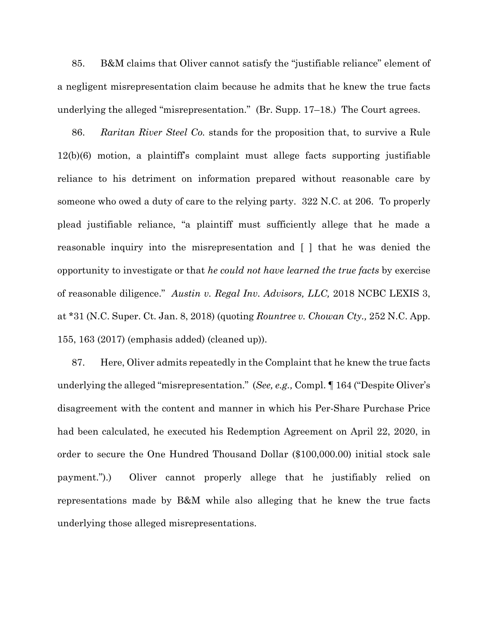85. B&M claims that Oliver cannot satisfy the "justifiable reliance" element of a negligent misrepresentation claim because he admits that he knew the true facts underlying the alleged "misrepresentation." (Br. Supp. 17–18.) The Court agrees.

86. *Raritan River Steel Co.* stands for the proposition that, to survive a Rule 12(b)(6) motion, a plaintiff's complaint must allege facts supporting justifiable reliance to his detriment on information prepared without reasonable care by someone who owed a duty of care to the relying party. 322 N.C. at 206. To properly plead justifiable reliance, "a plaintiff must sufficiently allege that he made a reasonable inquiry into the misrepresentation and [ ] that he was denied the opportunity to investigate or that *he could not have learned the true facts* by exercise of reasonable diligence." *Austin v. Regal Inv. Advisors, LLC,* 2018 NCBC LEXIS 3, at \*31 (N.C. Super. Ct. Jan. 8, 2018) (quoting *Rountree v. Chowan Cty.,* 252 N.C. App. 155, 163 (2017) (emphasis added) (cleaned up)).

87. Here, Oliver admits repeatedly in the Complaint that he knew the true facts underlying the alleged "misrepresentation." (*See, e.g.,* Compl. ¶ 164 ("Despite Oliver's disagreement with the content and manner in which his Per-Share Purchase Price had been calculated, he executed his Redemption Agreement on April 22, 2020, in order to secure the One Hundred Thousand Dollar (\$100,000.00) initial stock sale payment.").) Oliver cannot properly allege that he justifiably relied on representations made by B&M while also alleging that he knew the true facts underlying those alleged misrepresentations.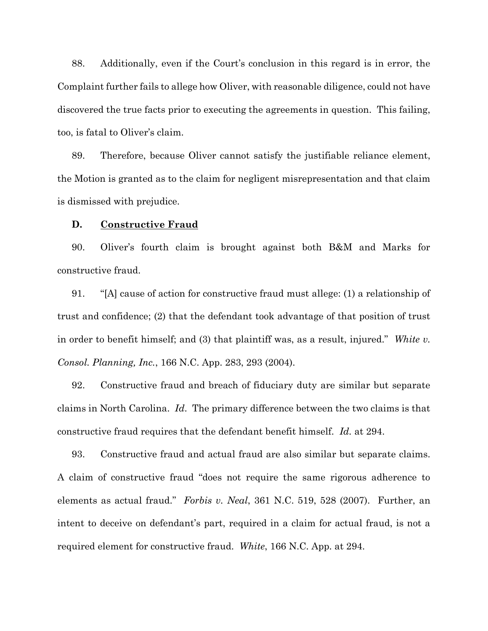88. Additionally, even if the Court's conclusion in this regard is in error, the Complaint further fails to allege how Oliver, with reasonable diligence, could not have discovered the true facts prior to executing the agreements in question. This failing, too, is fatal to Oliver's claim.

89. Therefore, because Oliver cannot satisfy the justifiable reliance element, the Motion is granted as to the claim for negligent misrepresentation and that claim is dismissed with prejudice.

## **D. Constructive Fraud**

90. Oliver's fourth claim is brought against both B&M and Marks for constructive fraud.

91. "[A] cause of action for constructive fraud must allege: (1) a relationship of trust and confidence; (2) that the defendant took advantage of that position of trust in order to benefit himself; and (3) that plaintiff was, as a result, injured." *White v. Consol. Planning, Inc.*, 166 N.C. App. 283, 293 (2004).

92. Constructive fraud and breach of fiduciary duty are similar but separate claims in North Carolina. *Id*. The primary difference between the two claims is that constructive fraud requires that the defendant benefit himself. *Id.* at 294.

93. Constructive fraud and actual fraud are also similar but separate claims. A claim of constructive fraud "does not require the same rigorous adherence to elements as actual fraud." *Forbis v. Neal*, 361 N.C. 519, 528 (2007). Further, an intent to deceive on defendant's part, required in a claim for actual fraud, is not a required element for constructive fraud. *White*, 166 N.C. App. at 294.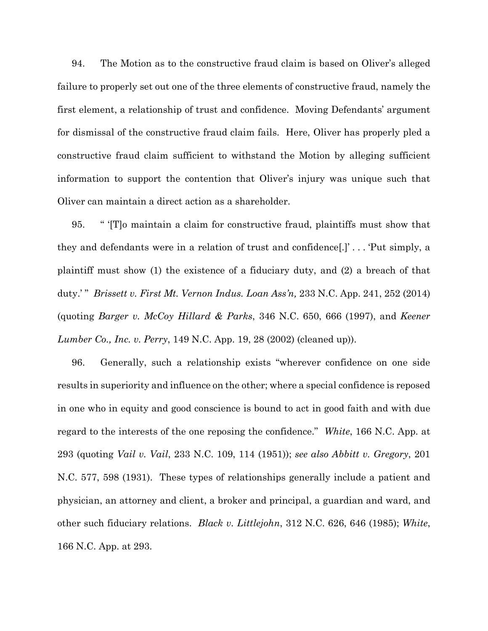94. The Motion as to the constructive fraud claim is based on Oliver's alleged failure to properly set out one of the three elements of constructive fraud, namely the first element, a relationship of trust and confidence. Moving Defendants' argument for dismissal of the constructive fraud claim fails. Here, Oliver has properly pled a constructive fraud claim sufficient to withstand the Motion by alleging sufficient information to support the contention that Oliver's injury was unique such that Oliver can maintain a direct action as a shareholder.

95. " '[T]o maintain a claim for constructive fraud, plaintiffs must show that they and defendants were in a relation of trust and confidence[.]' . . . 'Put simply, a plaintiff must show (1) the existence of a fiduciary duty, and (2) a breach of that duty.' " *Brissett v. First Mt. Vernon Indus. Loan Ass'n,* 233 N.C. App. 241, 252 (2014) (quoting *Barger v. McCoy Hillard & Parks*, 346 N.C. 650, 666 (1997), and *Keener Lumber Co., Inc. v. Perry*, 149 N.C. App. 19, 28 (2002) (cleaned up)).

96. Generally, such a relationship exists "wherever confidence on one side results in superiority and influence on the other; where a special confidence is reposed in one who in equity and good conscience is bound to act in good faith and with due regard to the interests of the one reposing the confidence." *White*, 166 N.C. App. at 293 (quoting *Vail v. Vail*, 233 N.C. 109, 114 (1951)); *see also Abbitt v. Gregory*, 201 N.C. 577, 598 (1931). These types of relationships generally include a patient and physician, an attorney and client, a broker and principal, a guardian and ward, and other such fiduciary relations. *Black v. Littlejohn*, 312 N.C. 626, 646 (1985); *White*, 166 N.C. App. at 293.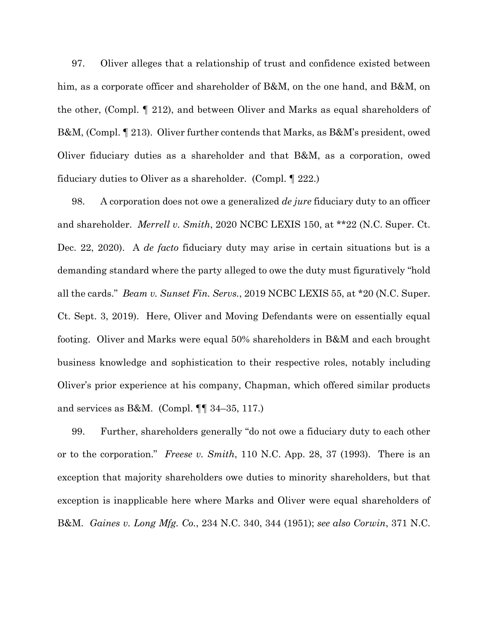97. Oliver alleges that a relationship of trust and confidence existed between him, as a corporate officer and shareholder of B&M, on the one hand, and B&M, on the other, (Compl. ¶ 212), and between Oliver and Marks as equal shareholders of B&M, (Compl. ¶ 213). Oliver further contends that Marks, as B&M's president, owed Oliver fiduciary duties as a shareholder and that B&M, as a corporation, owed fiduciary duties to Oliver as a shareholder. (Compl. ¶ 222.)

98. A corporation does not owe a generalized *de jure* fiduciary duty to an officer and shareholder. *Merrell v. Smith*, 2020 NCBC LEXIS 150, at \*\*22 (N.C. Super. Ct. Dec. 22, 2020). A *de facto* fiduciary duty may arise in certain situations but is a demanding standard where the party alleged to owe the duty must figuratively "hold all the cards." *Beam v. Sunset Fin. Servs.*, 2019 NCBC LEXIS 55, at \*20 (N.C. Super. Ct. Sept. 3, 2019). Here, Oliver and Moving Defendants were on essentially equal footing. Oliver and Marks were equal 50% shareholders in B&M and each brought business knowledge and sophistication to their respective roles, notably including Oliver's prior experience at his company, Chapman, which offered similar products and services as B&M. (Compl.  $\P\P$  34–35, 117.)

99. Further, shareholders generally "do not owe a fiduciary duty to each other or to the corporation." *Freese v. Smith*, 110 N.C. App. 28, 37 (1993). There is an exception that majority shareholders owe duties to minority shareholders, but that exception is inapplicable here where Marks and Oliver were equal shareholders of B&M. *Gaines v. Long Mfg. Co.*, 234 N.C. 340, 344 (1951); *see also Corwin*, 371 N.C.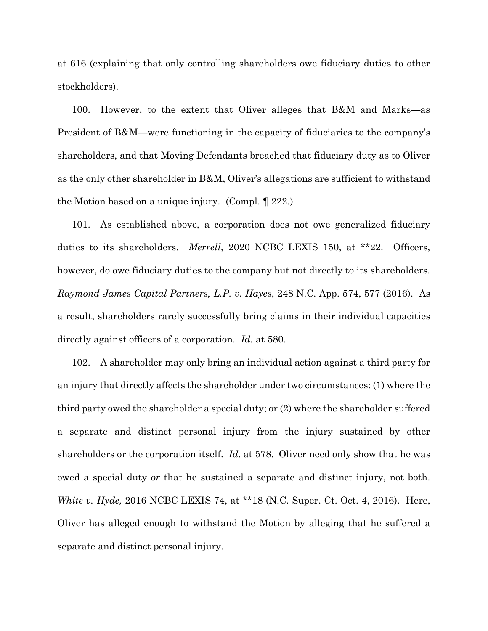at 616 (explaining that only controlling shareholders owe fiduciary duties to other stockholders).

100. However, to the extent that Oliver alleges that B&M and Marks—as President of B&M—were functioning in the capacity of fiduciaries to the company's shareholders, and that Moving Defendants breached that fiduciary duty as to Oliver as the only other shareholder in B&M, Oliver's allegations are sufficient to withstand the Motion based on a unique injury. (Compl. ¶ 222.)

101. As established above, a corporation does not owe generalized fiduciary duties to its shareholders. *Merrell*, 2020 NCBC LEXIS 150, at \*\*22. Officers, however, do owe fiduciary duties to the company but not directly to its shareholders. *Raymond James Capital Partners, L.P. v. Hayes*, 248 N.C. App. 574, 577 (2016). As a result, shareholders rarely successfully bring claims in their individual capacities directly against officers of a corporation. *Id.* at 580.

102. A shareholder may only bring an individual action against a third party for an injury that directly affects the shareholder under two circumstances: (1) where the third party owed the shareholder a special duty; or (2) where the shareholder suffered a separate and distinct personal injury from the injury sustained by other shareholders or the corporation itself. *Id*. at 578. Oliver need only show that he was owed a special duty *or* that he sustained a separate and distinct injury, not both. *White v. Hyde,* 2016 NCBC LEXIS 74, at \*\*18 (N.C. Super. Ct. Oct. 4, 2016). Here, Oliver has alleged enough to withstand the Motion by alleging that he suffered a separate and distinct personal injury.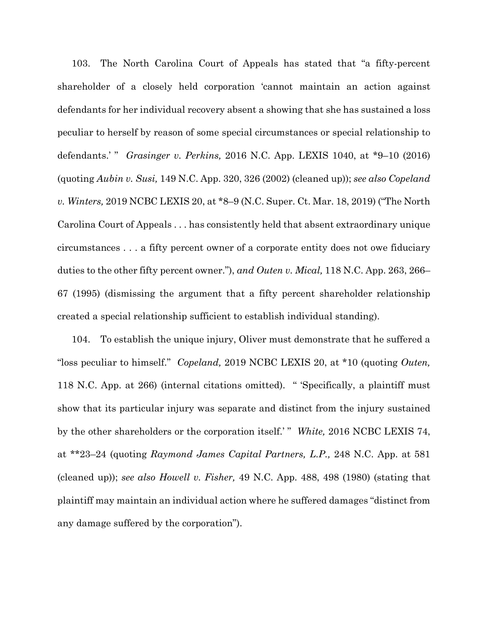103. The North Carolina Court of Appeals has stated that "a fifty-percent shareholder of a closely held corporation 'cannot maintain an action against defendants for her individual recovery absent a showing that she has sustained a loss peculiar to herself by reason of some special circumstances or special relationship to defendants.' " *Grasinger v. Perkins*, 2016 N.C. App. LEXIS 1040, at \*9–10 (2016) (quoting *Aubin v. Susi,* 149 N.C. App. 320, 326 (2002) (cleaned up)); *see also Copeland v. Winters,* 2019 NCBC LEXIS 20, at \*8–9 (N.C. Super. Ct. Mar. 18, 2019) ("The North Carolina Court of Appeals . . . has consistently held that absent extraordinary unique circumstances . . . a fifty percent owner of a corporate entity does not owe fiduciary duties to the other fifty percent owner."), *and Outen v. Mical,* 118 N.C. App. 263, 266– 67 (1995) (dismissing the argument that a fifty percent shareholder relationship created a special relationship sufficient to establish individual standing).

104. To establish the unique injury, Oliver must demonstrate that he suffered a "loss peculiar to himself." *Copeland,* 2019 NCBC LEXIS 20, at \*10 (quoting *Outen,*  118 N.C. App. at 266) (internal citations omitted). " 'Specifically, a plaintiff must show that its particular injury was separate and distinct from the injury sustained by the other shareholders or the corporation itself.' " *White,* 2016 NCBC LEXIS 74, at \*\*23–24 (quoting *Raymond James Capital Partners, L.P.,* 248 N.C. App. at 581 (cleaned up)); *see also Howell v. Fisher,* 49 N.C. App. 488, 498 (1980) (stating that plaintiff may maintain an individual action where he suffered damages "distinct from any damage suffered by the corporation").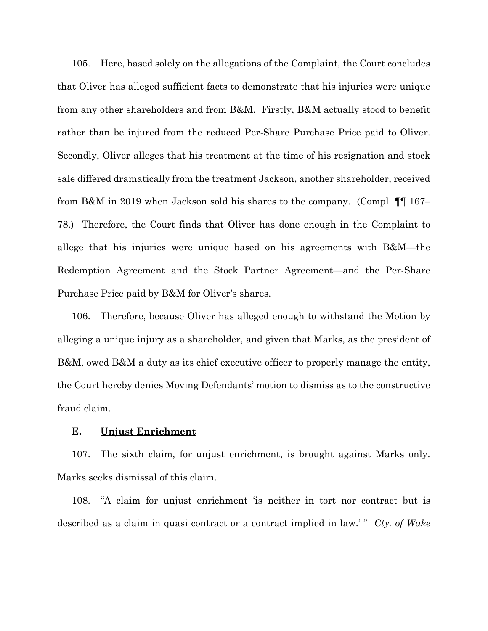105. Here, based solely on the allegations of the Complaint, the Court concludes that Oliver has alleged sufficient facts to demonstrate that his injuries were unique from any other shareholders and from B&M. Firstly, B&M actually stood to benefit rather than be injured from the reduced Per-Share Purchase Price paid to Oliver. Secondly, Oliver alleges that his treatment at the time of his resignation and stock sale differed dramatically from the treatment Jackson, another shareholder, received from B&M in 2019 when Jackson sold his shares to the company. (Compl. ¶¶ 167– 78.) Therefore, the Court finds that Oliver has done enough in the Complaint to allege that his injuries were unique based on his agreements with B&M—the Redemption Agreement and the Stock Partner Agreement—and the Per-Share Purchase Price paid by B&M for Oliver's shares.

106. Therefore, because Oliver has alleged enough to withstand the Motion by alleging a unique injury as a shareholder, and given that Marks, as the president of B&M, owed B&M a duty as its chief executive officer to properly manage the entity, the Court hereby denies Moving Defendants' motion to dismiss as to the constructive fraud claim.

### **E. Unjust Enrichment**

107. The sixth claim, for unjust enrichment, is brought against Marks only. Marks seeks dismissal of this claim.

108. "A claim for unjust enrichment 'is neither in tort nor contract but is described as a claim in quasi contract or a contract implied in law.' " *Cty. of Wake*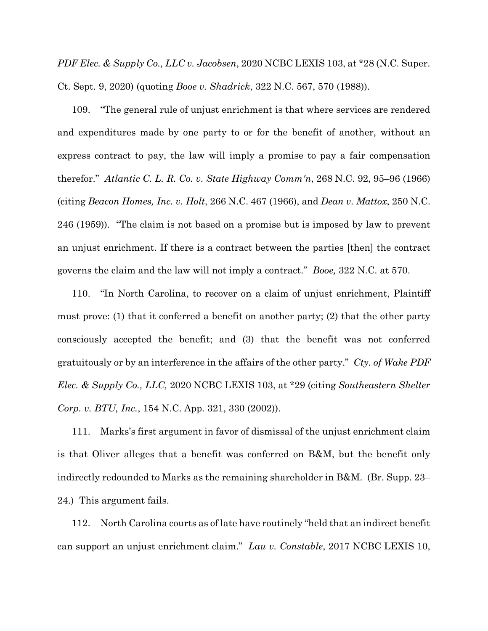*PDF Elec. & Supply Co., LLC v. Jacobsen*, 2020 NCBC LEXIS 103, at \*28 (N.C. Super. Ct. Sept. 9, 2020) (quoting *Booe v. Shadrick*, 322 N.C. 567, 570 (1988)).

109. "The general rule of unjust enrichment is that where services are rendered and expenditures made by one party to or for the benefit of another, without an express contract to pay, the law will imply a promise to pay a fair compensation therefor." *Atlantic C. L. R. Co. v. State Highway Comm'n*, 268 N.C. 92, 95–96 (1966) (citing *Beacon Homes, Inc. v. Holt*, 266 N.C. 467 (1966), and *Dean v. Mattox*, 250 N.C. 246 (1959)). "The claim is not based on a promise but is imposed by law to prevent an unjust enrichment. If there is a contract between the parties [then] the contract governs the claim and the law will not imply a contract." *Booe,* 322 N.C. at 570.

110. "In North Carolina, to recover on a claim of unjust enrichment, Plaintiff must prove: (1) that it conferred a benefit on another party; (2) that the other party consciously accepted the benefit; and (3) that the benefit was not conferred gratuitously or by an interference in the affairs of the other party." *Cty. of Wake PDF Elec. & Supply Co., LLC,* 2020 NCBC LEXIS 103, at \*29 (citing *Southeastern Shelter Corp. v. BTU, Inc.*, 154 N.C. App. 321, 330 (2002)).

111. Marks's first argument in favor of dismissal of the unjust enrichment claim is that Oliver alleges that a benefit was conferred on B&M, but the benefit only indirectly redounded to Marks as the remaining shareholder in B&M. (Br. Supp. 23– 24.) This argument fails.

112. North Carolina courts as of late have routinely "held that an indirect benefit can support an unjust enrichment claim." *Lau v. Constable*, 2017 NCBC LEXIS 10,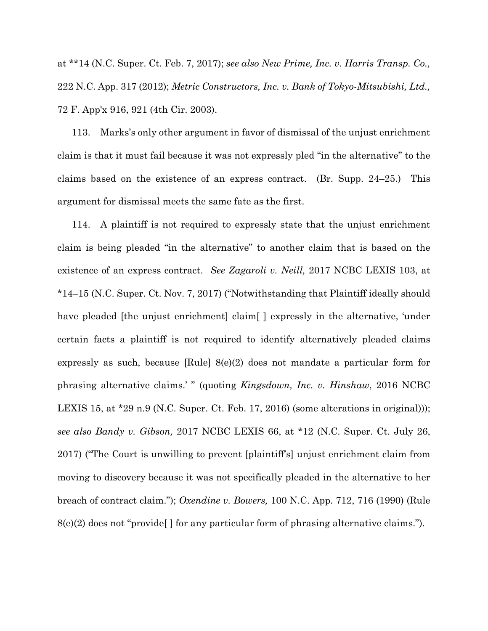at \*\*14 (N.C. Super. Ct. Feb. 7, 2017); *see also New Prime, Inc. v. Harris Transp. Co.,*  222 N.C. App. 317 (2012); *Metric Constructors, Inc. v. Bank of Tokyo-Mitsubishi, Ltd.,* 72 F. App'x 916, 921 (4th Cir. 2003).

113. Marks's only other argument in favor of dismissal of the unjust enrichment claim is that it must fail because it was not expressly pled "in the alternative" to the claims based on the existence of an express contract. (Br. Supp. 24–25.) This argument for dismissal meets the same fate as the first.

114. A plaintiff is not required to expressly state that the unjust enrichment claim is being pleaded "in the alternative" to another claim that is based on the existence of an express contract. *See Zagaroli v. Neill,* 2017 NCBC LEXIS 103, at \*14–15 (N.C. Super. Ct. Nov. 7, 2017) ("Notwithstanding that Plaintiff ideally should have pleaded [the unjust enrichment] claim [] expressly in the alternative, 'under certain facts a plaintiff is not required to identify alternatively pleaded claims expressly as such, because [Rule] 8(e)(2) does not mandate a particular form for phrasing alternative claims.' " (quoting *Kingsdown, Inc. v. Hinshaw*, 2016 NCBC LEXIS 15, at \*29 n.9 (N.C. Super. Ct. Feb. 17, 2016) (some alterations in original))); *see also Bandy v. Gibson,* 2017 NCBC LEXIS 66, at \*12 (N.C. Super. Ct. July 26, 2017) ("The Court is unwilling to prevent [plaintiff's] unjust enrichment claim from moving to discovery because it was not specifically pleaded in the alternative to her breach of contract claim."); *Oxendine v. Bowers,* 100 N.C. App. 712, 716 (1990) (Rule  $8(e)(2)$  does not "provide"  $\mid$  for any particular form of phrasing alternative claims.").